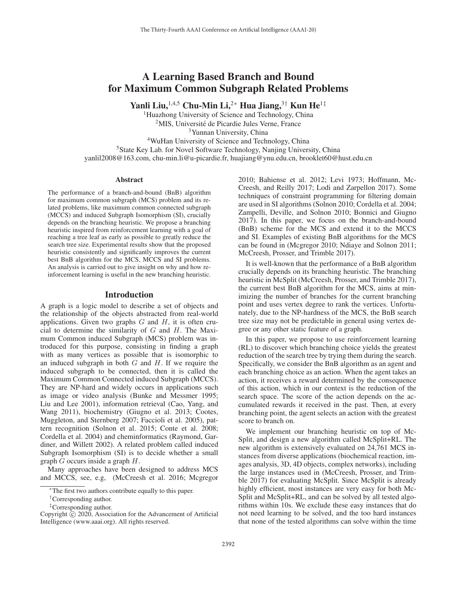# A Learning Based Branch and Bound for Maximum Common Subgraph Related Problems

Yanli Liu,<sup>1,4,5</sup> Chu-Min Li,<sup>2</sup><sup>∗</sup> Hua Jiang,<sup>3†</sup> Kun He<sup>1‡</sup>

<sup>1</sup>Huazhong University of Science and Technology, China <sup>2</sup>MIS, Université de Picardie Jules Verne, France <sup>3</sup>Yunnan University, China 4WuHan University of Science and Technology, China <sup>5</sup>State Key Lab. for Novel Software Technology, Nanjing University, China yanlil2008@163.com, chu-min.li@u-picardie.fr, huajiang@ynu.edu.cn, brooklet60@hust.edu.cn

#### **Abstract**

The performance of a branch-and-bound (BnB) algorithm for maximum common subgraph (MCS) problem and its related problems, like maximum common connected subgraph (MCCS) and induced Subgraph Isomorphism (SI), crucially depends on the branching heuristic. We propose a branching heuristic inspired from reinforcement learning with a goal of reaching a tree leaf as early as possible to greatly reduce the search tree size. Experimental results show that the proposed heuristic consistently and significantly improves the current best BnB algorithm for the MCS, MCCS and SI problems. An analysis is carried out to give insight on why and how reinforcement learning is useful in the new branching heuristic.

### Introduction

A graph is a logic model to describe a set of objects and the relationship of the objects abstracted from real-world applications. Given two graphs  $G$  and  $H$ , it is often crucial to determine the similarity of  $G$  and  $H$ . The Maximum Common induced Subgraph (MCS) problem was introduced for this purpose, consisting in finding a graph with as many vertices as possible that is isomorphic to an induced subgraph in both  $G$  and  $H$ . If we require the induced subgraph to be connected, then it is called the Maximum Common Connected induced Subgraph (MCCS). They are NP-hard and widely occurs in applications such as image or video analysis (Bunke and Messmer 1995; Liu and Lee 2001), information retrieval (Cao, Yang, and Wang 2011), biochemistry (Giugno et al. 2013; Cootes, Muggleton, and Sternberg 2007; Faccioli et al. 2005), pattern recognition (Solnon et al. 2015; Conte et al. 2008; Cordella et al. 2004) and cheminformatics (Raymond, Gardiner, and Willett 2002). A related problem called induced Subgraph Isomorphism (SI) is to decide whether a small graph  $G$  occurs inside a graph  $H$ .

Many approaches have been designed to address MCS and MCCS, see, e.g, (McCreesh et al. 2016; Mcgregor

2010; Bahiense et al. 2012; Levi 1973; Hoffmann, Mc-Creesh, and Reilly 2017; Lodi and Zarpellon 2017). Some techniques of constraint programming for filtering domain are used in SI algorithms (Solnon 2010; Cordella et al. 2004; Zampelli, Deville, and Solnon 2010; Bonnici and Giugno 2017). In this paper, we focus on the branch-and-bound (BnB) scheme for the MCS and extend it to the MCCS and SI. Examples of existing BnB algorithms for the MCS can be found in (Mcgregor 2010; Ndiaye and Solnon 2011; McCreesh, Prosser, and Trimble 2017).

It is well-known that the performance of a BnB algorithm crucially depends on its branching heuristic. The branching heuristic in McSplit (McCreesh, Prosser, and Trimble 2017), the current best BnB algorithm for the MCS, aims at minimizing the number of branches for the current branching point and uses vertex degree to rank the vertices. Unfortunately, due to the NP-hardness of the MCS, the BnB search tree size may not be predictable in general using vertex degree or any other static feature of a graph.

In this paper, we propose to use reinforcement learning (RL) to discover which branching choice yields the greatest reduction of the search tree by trying them during the search. Specifically, we consider the BnB algorithm as an agent and each branching choice as an action. When the agent takes an action, it receives a reward determined by the consequence of this action, which in our context is the reduction of the search space. The score of the action depends on the accumulated rewards it received in the past. Then, at every branching point, the agent selects an action with the greatest score to branch on.

We implement our branching heuristic on top of Mc-Split, and design a new algorithm called McSplit+RL. The new algorithm is extensively evaluated on 24,761 MCS instances from diverse applications (biochemical reaction, images analysis, 3D, 4D objects, complex networks), including the large instances used in (McCreesh, Prosser, and Trimble 2017) for evaluating McSplit. Since McSplit is already highly efficient, most instances are very easy for both Mc-Split and McSplit+RL, and can be solved by all tested algorithms within 10s. We exclude these easy instances that do not need learning to be solved, and the too hard instances that none of the tested algorithms can solve within the time

<sup>∗</sup>The first two authors contribute equally to this paper.

<sup>†</sup>Corresponding author.

<sup>‡</sup>Corresponding author.

Copyright  $\odot$  2020, Association for the Advancement of Artificial Intelligence (www.aaai.org). All rights reserved.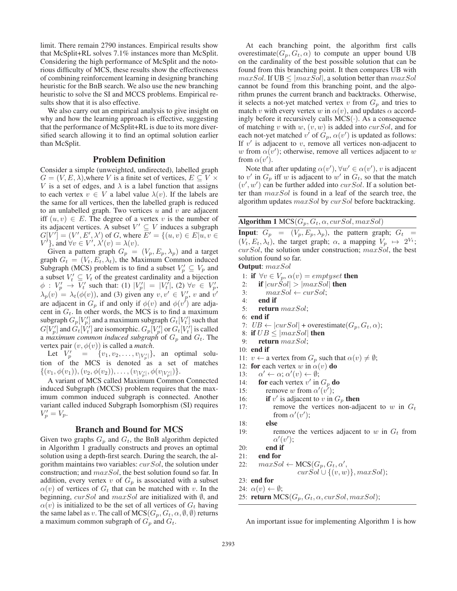limit. There remain 2790 instances. Empirical results show that McSplit+RL solves 7.1% instances more than McSplit. Considering the high performance of McSplit and the notorious difficulty of MCS, these results show the effectiveness of combining reinforcement learning in designing branching heuristic for the BnB search. We also use the new branching heuristic to solve the SI and MCCS problems. Empirical results show that it is also effective.

We also carry out an empirical analysis to give insight on why and how the learning approach is effective, suggesting that the performance of McSplit+RL is due to its more diversified search allowing it to find an optimal solution earlier than McSplit.

# Problem Definition

Consider a simple (unweighted, undirected), labelled graph  $G = (V, E, \lambda)$ , where V is a finite set of vertices,  $E \subseteq V \times$ V is a set of edges, and  $\lambda$  is a label function that assigns to each vertex  $v \in V$  a label value  $\lambda(v)$ . If the labels are the same for all vertices, then the labelled graph is reduced to an unlabelled graph. Two vertices  $u$  and  $v$  are adjacent iff  $(u, v) \in E$ . The degree of a vertex v is the number of its adjacent vertices. A subset  $V' \subseteq V$  induces a subgraph  $G[V'] = (V', E', \lambda')$  of G, where  $\overline{E'} = \{(u, v) \in E | u, v \in \Lambda\}$  $V'$ }, and  $\forall v \in V'$ ,  $\lambda'(v) = \lambda(v)$ .

Given a pattern graph  $G_p = (V_p, E_p, \lambda_p)$  and a target graph  $G_t = (V_t, E_t, \lambda_t)$ , the Maximum Common induced Subgraph (MCS) problem is to find a subset  $V_p' \subseteq V_p$  and a subset  $V'_t \subseteq V_t$  of the greatest cardinality and a bijection  $\phi: V_p' \stackrel{\iota}{\rightarrow} \overline{V_t'}$  such that: (1)  $|V_p'| = |V_t|$ , (2)  $\forall v \in V_p'$ ,  $\lambda_p(v) = \lambda_t(\phi(v))$ , and (3) given any  $v, v' \in V_p'$ , v and  $v'$  are adjacent in  $G_p$  if and only if  $\phi(v)$  and  $\phi(v')$  are adjacent in  $G_t$ . In other words, the MCS is to find a maximum subgraph  $G_p[V'_p]$  and a maximum subgraph  $G_t[V'_t]$  such that  $G[V'_p]$  and  $G_t[V'_t]$  are isomorphic.  $G_p[V'_p]$  or  $G_t[V'_t]$  is called a *maximum common induced subgraph* of  $G_p$  and  $G_t$ . The vertex pair  $(v, \phi(v))$  is called a *match*.

Let  $V'_p = \{(v_1, v_2, \dots, v_{|V'_p|}\},\)$  an optimal solution of the MCS is denoted as a set of matches  $\{(v_1,\phi(v_1)),(v_2,\phi(v_2)),\ldots,(v_{|V'_p|},\phi(v_{|V'_p|})\}.$ 

A variant of MCS called Maximum Common Connected induced Subgraph (MCCS) problem requires that the maximum common induced subgraph is connected. Another variant called induced Subgraph Isomorphism (SI) requires  $V'_p = V_p.$ 

#### Branch and Bound for MCS

Given two graphs  $G_p$  and  $G_t$ , the BnB algorithm depicted in Algorithm 1 gradually constructs and proves an optimal solution using a depth-first search. During the search, the algorithm maintains two variables:  $curSol$ , the solution under construction; and maxSol, the best solution found so far. In addition, every vertex v of  $G_p$  is associated with a subset  $\alpha(v)$  of vertices of  $G_t$  that can be matched with v. In the beginning,  $curSol$  and  $maxSol$  are initialized with  $\emptyset$ , and  $\alpha(v)$  is initialized to be the set of all vertices of  $G_t$  having the same label as v. The call of  $MCS(G_p, G_t, \alpha, \emptyset, \emptyset)$  returns a maximum common subgraph of  $G_p$  and  $G_t$ .

At each branching point, the algorithm first calls overestimate( $G_p, G_t, \alpha$ ) to compute an upper bound UB on the cardinality of the best possible solution that can be found from this branching point. It then compares UB with  $maxSol$ . If UB  $\leq |maxSol|$ , a solution better than  $maxSol$ cannot be found from this branching point, and the algorithm prunes the current branch and backtracks. Otherwise, it selects a not-yet matched vertex  $v$  from  $G_p$  and tries to match v with every vertex w in  $\alpha(v)$ , and updates  $\alpha$  accordingly before it recursively calls MCS(·). As a consequence of matching v with w,  $(v, w)$  is added into curSol, and for each not-yet matched  $v'$  of  $G_p$ ,  $\alpha(v')$  is updated as follows: If  $v'$  is adjacent to v, remove all vertices non-adjacent to w from  $\alpha(v')$ ; otherwise, remove all vertices adjacent to w from  $\alpha(v')$ .

Note that after updating  $\alpha(v')$ ,  $\forall w' \in \alpha(v')$ , v is adjacent to v' in  $G_p$  iff w is adjacent to w' in  $G_t$ , so that the match  $(v', w')$  can be further added into *curSol*. If a solution better than maxSol is found in a leaf of the search tree, the algorithm updates  $maxSol$  by  $curSol$  before backtracking.

Algorithm 1  $MCS(G_p, G_t, \alpha, curSol, maxSol)$ 

**Input:**  $G_p = (V_p, E_p, \lambda_p)$ , the pattern graph;  $G_t =$  $(V_t, E_t, \lambda_t)$ , the target graph;  $\alpha$ , a mapping  $V_p \rightarrow 2^{V_t}$ ;  $curSol$ , the solution under construction;  $maxSol$ , the best solution found so far.

Output: maxSol

1: if  $\forall v \in V_p$ ,  $\alpha(v) = \text{emptyset}$  then

- 2: if  $|cur\dot{S}ol| > |maxSol|$  then
- 3:  $maxSol \leftarrow curSol;$
- 4: end if
- 5: return  $maxSol$ ;
- 6: end if
- 7:  $UB \leftarrow |curSol| + \text{overestimate}(G_p, G_t, \alpha);$
- 8: if  $UB \leq |maxSol|$  then
- 9: return maxSol;
- 10: end if
- 11:  $v \leftarrow$  a vertex from  $G_p$  such that  $\alpha(v) \neq \emptyset$ ;
- 12: for each vertex w in  $\alpha(v)$  do
- 13:  $v' \leftarrow \alpha; \alpha'(v) \leftarrow \emptyset;$
- 14: for each vertex  $v'$  in  $G_p$  do
- 15: remove w from  $\alpha'(v')$ ;
- 16: **if** v' is adjacent to v in  $G_p$  then
- 17: remove the vertices non-adjacent to w in  $G_t$ from  $\alpha'(v')$ ;
- 18: else
- 19: remove the vertices adjacent to  $w$  in  $G_t$  from  $\alpha'(v')$ ;
- 20: end if
- 21: end for
- 22:  $maxSol \leftarrow \text{MCS}(G_p, G_t, \alpha',$  $curSol \cup \{(v,w)\}, maxSol);$
- 23: end for
- 24:  $\alpha(v) \leftarrow \emptyset$ ;
- 25: return  $MCS(G_p, G_t, \alpha, curSol, maxSol);$

An important issue for implementing Algorithm 1 is how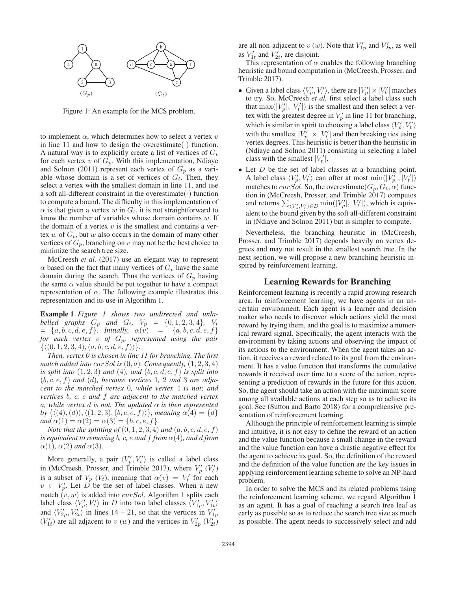

Figure 1: An example for the MCS problem.

to implement  $\alpha$ , which determines how to select a vertex  $v$ in line 11 and how to design the overestimate  $(\cdot)$  function. A natural way is to explicitly create a list of vertices of  $G_t$ for each vertex  $v$  of  $G_p$ . With this implementation, Ndiaye and Solnon (2011) represent each vertex of  $G_p$  as a variable whose domain is a set of vertices of  $G_t$ . Then, they select a vertex with the smallest domain in line 11, and use a soft all-different constraint in the overestimate  $(\cdot)$  function to compute a bound. The difficulty in this implementation of  $\alpha$  is that given a vertex w in  $G_t$ , it is not straightforward to know the number of variables whose domain contains  $w$ . If the domain of a vertex  $v$  is the smallest and contains a vertex  $w$  of  $G_t$ , but  $w$  also occurs in the domain of many other vertices of  $G_p$ , branching on v may not be the best choice to minimize the search tree size.

McCreesh *et al.* (2017) use an elegant way to represent  $\alpha$  based on the fact that many vertices of  $G_p$  have the same domain during the search. Thus the vertices of  $G_p$  having the same  $\alpha$  value should be put together to have a compact representation of  $\alpha$ . The following example illustrates this representation and its use in Algorithm 1.

Example 1 *Figure 1 shows two undirected and unlabelled* graphs  $G_p$  and  $G_t$ ,  $V_p = \{0, 1, 2, 3, 4\}$ ,  $V_t$  $= \{a, b, c, d, e, f\}$ *. Initially,*  $\alpha(v) = \{a, b, c, d, e, f\}$ *for each vertex* v *of* Gp*, represented using the pair*  $\{ \langle (0,1,2,3,4), (a,b,c,d,e,f) \rangle \}.$ 

*Then, vertex 0 is chosen in line 11 for branching. The first match added into curSol is*  $(0, a)$ *. Consequently,*  $(1, 2, 3, 4)$ *is split into*  $(1, 2, 3)$  *and*  $(4)$ *, and*  $(b, c, d, e, f)$  *is split into*  $(b, c, e, f)$  *and*  $(d)$ *, because vertices* 1, 2 *and* 3 *are adjacent to the matched vertex* 0*, while vertex* 4 *is not; and vertices* b*,* c*,* e *and* f *are adjacent to the matched vertex*  $\alpha$ , while vertex  $d$  *is not. The updated*  $\alpha$  *is then represented* by  $\{\langle (4), (d) \rangle, \langle (1,2,3), (b,c,e,f) \rangle\}$ , meaning  $\alpha(4) = \{d\}$ *and*  $\alpha(1) = \alpha(2) = \alpha(3) = \{b, c, e, f\}.$ 

*Note that the splitting of*  $(0, 1, 2, 3, 4)$  *and*  $(a, b, c, d, e, f)$ *is equivalent to removing b, c, e and*  $f$  *from*  $\alpha$ (4)*, and d from*  $\alpha(1)$ ,  $\alpha(2)$  *and*  $\alpha(3)$ .

More generally, a pair  $\langle V_p', V_t' \rangle$  is called a label class in (McCreesh, Prosser, and Trimble 2017), where  $V'_{p}(V'_{t})$ is a subset of  $V_p$  ( $V_t$ ), meaning that  $\alpha(v) = V_t'$  for each  $v \in V_p'$ . Let D be the set of label classes. When a new match  $(v, w)$  is added into *curSol*, Algorithm 1 splits each label class  $\langle V_p', V_t' \rangle$  in D into two label classes  $\langle V_{1p}', V_{1t}' \rangle$ and  $\langle V'_{2p}, V'_{2t} \rangle$  in lines 14 – 21, so that the vertices in  $V'_{1p}$  $(V'_{1t})$  are all adjacent to v (w) and the vertices in  $V'_{2p}$   $(V'_{2t})$ 

are all non-adjacent to  $v(w)$ . Note that  $V'_{1p}$  and  $V'_{2p}$ , as well as  $V'_{1t}$  and  $V'_{2t}$ , are disjoint.

This representation of  $\alpha$  enables the following branching heuristic and bound computation in (McCreesh, Prosser, and Trimble 2017).

- Given a label class  $\langle V'_p, V'_t \rangle$ , there are  $|V'_p| \times |V'_t|$  matches to try. So, McCreesh *et al.* first select a label class such that  $\max(|V'_p|, |V'_t|)$  is the smallest and then select a vertex with the greatest degree in  $V_p'$  in line 11 for branching, which is similar in spirit to choosing a label class  $\langle V'_p, V'_t \rangle$ with the smallest  $|V'_p| \times |V'_t|$  and then breaking ties using vertex degrees. This heuristic is better than the heuristic in (Ndiaye and Solnon 2011) consisting in selecting a label class with the smallest  $|V_t|$ .
- Let D be the set of label classes at a branching point. A label class  $\langle V_p', V_t' \rangle$  can offer at most  $\min(|V_p'|, |V_t'|)$ matches to curSol. So, the overestimate  $(G_p, G_t, \alpha)$  function in (McCreesh, Prosser, and Trimble 2017) computes and returns  $\sum_{\langle V_p', V_t'\rangle \in D} \min(|V_p'|, |V_t'|)$ , which is equivalent to the bound given by the soft all-different constraint in (Ndiaye and Solnon 2011) but is simpler to compute.

Nevertheless, the branching heuristic in (McCreesh, Prosser, and Trimble 2017) depends heavily on vertex degrees and may not result in the smallest search tree. In the next section, we will propose a new branching heuristic inspired by reinforcement learning.

# Learning Rewards for Branching

Reinforcement learning is recently a rapid growing research area. In reinforcement learning, we have agents in an uncertain environment. Each agent is a learner and decision maker who needs to discover which actions yield the most reward by trying them, and the goal is to maximize a numerical reward signal. Specifically, the agent interacts with the environment by taking actions and observing the impact of its actions to the environment. When the agent takes an action, it receives a reward related to its goal from the environment. It has a value function that transforms the cumulative rewards it received over time to a score of the action, representing a prediction of rewards in the future for this action. So, the agent should take an action with the maximum score among all available actions at each step so as to achieve its goal. See (Sutton and Barto 2018) for a comprehensive presentation of reinforcement learning.

Although the principle of reinforcement learning is simple and intuitive, it is not easy to define the reward of an action and the value function because a small change in the reward and the value function can have a drastic negative effect for the agent to achieve its goal. So, the definition of the reward and the definition of the value function are the key issues in applying reinforcement learning scheme to solve an NP-hard problem.

In order to solve the MCS and its related problems using the reinforcement learning scheme, we regard Algorithm 1 as an agent. It has a goal of reaching a search tree leaf as early as possible so as to reduce the search tree size as much as possible. The agent needs to successively select and add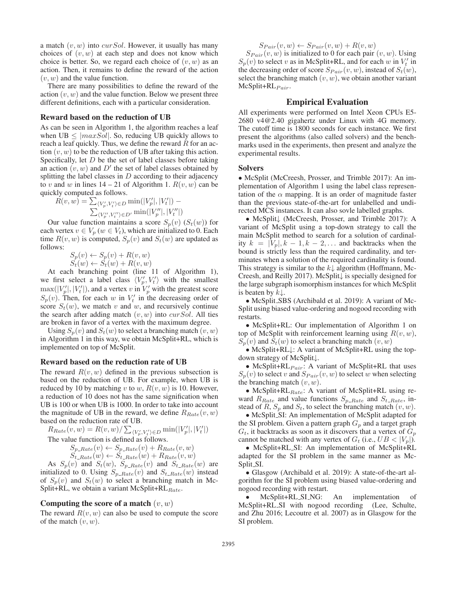a match  $(v, w)$  into *curSol*. However, it usually has many choices of  $(v, w)$  at each step and does not know which choice is better. So, we regard each choice of  $(v, w)$  as an action. Then, it remains to define the reward of the action  $(v, w)$  and the value function.

There are many possibilities to define the reward of the action  $(v, w)$  and the value function. Below we present three different definitions, each with a particular consideration.

#### Reward based on the reduction of UB

As can be seen in Algorithm 1, the algorithm reaches a leaf when UB  $\leq$   $|maxSol|$ . So, reducing UB quickly allows to reach a leaf quickly. Thus, we define the reward  $R$  for an action  $(v, w)$  to be the reduction of UB after taking this action. Specifically, let  $D$  be the set of label classes before taking an action  $(v, w)$  and D' the set of label classes obtained by splitting the label classes in  $D$  according to their adjacency to v and w in lines  $14 - 21$  of Algorithm 1.  $R(v, w)$  can be quickly computed as follows.

$$
R(v, w) = \sum_{\langle V'_p, V'_t \rangle \in D} \min(|V'_p|, |V'_t|) - \sum_{\langle V''_p, V''_t \rangle \in D'} \min(|V''_p|, |V''_t|)
$$

Our value function maintains a score  $S_p(v)$  ( $S_t(w)$ ) for each vertex  $v \in V_p$  ( $w \in V_t$ ), which are initialized to 0. Each time  $R(v, w)$  is computed,  $S_p(v)$  and  $S_t(w)$  are updated as follows:

$$
S_p(v) \leftarrow S_p(v) + R(v, w)
$$
  

$$
S_t(w) \leftarrow S_t(w) + R(v, w)
$$

At each branching point (line 11 of Algorithm 1), we first select a label class  $\langle V'_p, V'_t \rangle$  with the smallest  $\max(|V'_p|, |V'_t|)$ , and a vertex v in  $V'_p$  with the greatest score  $S_p(v)$ . Then, for each w in  $V'_t$  in the decreasing order of score  $S_t(w)$ , we match v and w, and recursively continue the search after adding match  $(v, w)$  into *curSol*. All ties are broken in favor of a vertex with the maximum degree.

Using  $S_p(v)$  and  $S_t(w)$  to select a branching match  $(v, w)$ in Algorithm 1 in this way, we obtain McSplit+RL, which is implemented on top of McSplit.

## Reward based on the reduction rate of UB

The reward  $R(v, w)$  defined in the previous subsection is based on the reduction of UB. For example, when UB is reduced by 10 by matching v to w,  $R(v, w)$  is 10. However, a reduction of 10 does not has the same signification when UB is 100 or when UB is 1000. In order to take into account the magnitude of UB in the reward, we define  $R_{Rate}(v, w)$ based on the reduction rate of UB.

$$
R_{Rate}(v, w) = R(v, w) / \sum_{\langle V'_p, V'_t \rangle \in D} \min(|V'_p|, |V'_t|)
$$
  
The value function is defined as follows.  

$$
S_{p_Rate}(v) \leftarrow S_{p_Rate}(v) + R_{Rate}(v, w)
$$
  

$$
S_{t_Rate}(w) \leftarrow S_{t_Rate}(w) + R_{Rate}(v, w)
$$
  
As S (w) and S (w) S\_{p\_Rate}(w) and S\_{p\_Rate}(w)

As  $S_p(v)$  and  $S_t(w)$ ,  $S_{p_Rate}(v)$  and  $S_{t_Rate}(w)$  are initialized to 0. Using  $S_{p_Rate}(v)$  and  $S_{t_Rate}(w)$  instead of  $S_p(v)$  and  $S_t(w)$  to select a branching match in Mc-Split+RL, we obtain a variant McSplit+RL $_{Rate}$ .

# Computing the score of a match  $(v, w)$

The reward  $R(v, w)$  can also be used to compute the score of the match  $(v, w)$ .

$$
S_{Pair}(v, w) \leftarrow S_{Pair}(v, w) + R(v, w)
$$

 $S_{Pair}(v, w)$  is initialized to 0 for each pair  $(v, w)$ . Using  $S_p(v)$  to select v as in McSplit+RL, and for each w in  $V_t'$  in the decreasing order of score  $S_{Pair}(v, w)$ , instead of  $S_t(w)$ , select the branching match  $(v, w)$ , we obtain another variant  $McSplit+RL_{Pair}.$ 

# Empirical Evaluation

All experiments were performed on Intel Xeon CPUs E5- 2680 v4@2.40 gigahertz under Linux with 4G memory. The cutoff time is 1800 seconds for each instance. We first present the algorithms (also called solvers) and the benchmarks used in the experiments, then present and analyze the experimental results.

# **Solvers**

• McSplit (McCreesh, Prosser, and Trimble 2017): An implementation of Algorithm 1 using the label class representation of the  $\alpha$  mapping. It is an order of magnitude faster than the previous state-of-the-art for unlabelled and undirected MCS instances. It can also sovle labelled graphs.

• McSplit↓ (McCreesh, Prosser, and Trimble 2017): A variant of McSplit using a top-down strategy to call the main McSplit method to search for a solution of cardinality  $k = |V_p|, k - 1, k - 2, \dots$  and backtracks when the bound is strictly less than the required cardinality, and terminates when a solution of the required cardinality is found. This strategy is similar to the  $k\downarrow$  algorithm (Hoffmann, Mc-Creesh, and Reilly 2017). McSplit↓ is specially designed for the large subgraph isomorphism instances for which McSplit is beaten by  $k\downarrow$ .

• McSplit SBS (Archibald et al. 2019): A variant of Mc-Split using biased value-ordering and nogood recording with restarts.

• McSplit+RL: Our implementation of Algorithm 1 on top of McSplit with reinforcement learning using  $R(v, w)$ ,  $S_n(v)$  and  $S_t(w)$  to select a branching match  $(v, w)$ 

• McSplit+RL↓: A variant of McSplit+RL using the topdown strategy of McSplit↓.

• McSplit+RL $_{Pair}$ : A variant of McSplit+RL that uses  $S_p(v)$  to select v and  $S_{Pair}(v, w)$  to select w when selecting the branching match  $(v, w)$ .

• McSplit+RL $_{Rate}$ : A variant of McSplit+RL using reward  $R_{Rate}$  and value functions  $S_{p_Rate}$  and  $S_{t_Rate}$ , instead of R,  $S_n$  and  $S_t$ , to select the branching match  $(v, w)$ .

• McSplit\_SI: An implementation of McSplit adapted for the SI problem. Given a pattern graph  $G_p$  and a target graph  $G_t$ , it backtracks as soon as it discovers that a vertex of  $G_p$ cannot be matched with any vertex of  $G_t$  (i.e.,  $UB < |V_p|$ ).

• McSplit+RL SI: An implementation of McSplit+RL adapted for the SI problem in the same manner as Mc-Split\_SI.

• Glasgow (Archibald et al. 2019): A state-of-the-art algorithm for the SI problem using biased value-ordering and nogood recording with restart.

McSplit+RL\_SI\_NG: An implementation of McSplit+RL SI with nogood recording (Lee, Schulte, and Zhu 2016; Lecoutre et al. 2007) as in Glasgow for the SI problem.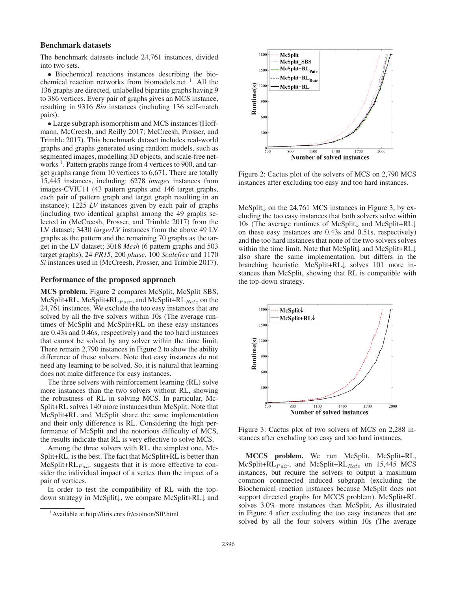## Benchmark datasets

The benchmark datasets include 24,761 instances, divided into two sets.

• Biochemical reactions instances describing the biochemical reaction networks from biomodels.net  $<sup>1</sup>$ . All the</sup> 136 graphs are directed, unlabelled bipartite graphs having 9 to 386 vertices. Every pair of graphs gives an MCS instance, resulting in 9316 *Bio* instances (including 136 self-match pairs).

• Large subgraph isomorphism and MCS instances (Hoffmann, McCreesh, and Reilly 2017; McCreesh, Prosser, and Trimble 2017). This benchmark dataset includes real-world graphs and graphs generated using random models, such as segmented images, modelling 3D objects, and scale-free networks<sup>1</sup>. Pattern graphs range from 4 vertices to 900, and target graphs range from 10 vertices to 6,671. There are totally 15,445 instances, including: 6278 *images* instances from images-CVIU11 (43 pattern graphs and 146 target graphs, each pair of pattern graph and target graph resulting in an instance); 1225 *LV* instances given by each pair of graphs (including two identical graphs) among the 49 graphs selected in (McCreesh, Prosser, and Trimble 2017) from the LV dataset; 3430 *largerLV* instances from the above 49 LV graphs as the pattern and the remaining 70 graphs as the target in the LV dataset; 3018 *Mesh* (6 pattern graphs and 503 target graphs), 24 *PR15*, 200 *phase*, 100 *Scalefree* and 1170 *Si* instances used in (McCreesh, Prosser, and Trimble 2017).

#### Performance of the proposed approach

MCS problem. Figure 2 compares McSplit, McSplit SBS, McSplit+RL, McSplit+RL $_{Pair}$ , and McSplit+RL $_{Rate}$  on the 24,761 instances. We exclude the too easy instances that are solved by all the five solvers within 10s (The average runtimes of McSplit and McSplit+RL on these easy instances are 0.43s and 0.46s, respectively) and the too hard instances that cannot be solved by any solver within the time limit. There remain 2,790 instances in Figure 2 to show the ability difference of these solvers. Note that easy instances do not need any learning to be solved. So, it is natural that learning does not make difference for easy instances.

The three solvers with reinforcement learning (RL) solve more instances than the two solvers without RL, showing the robustness of RL in solving MCS. In particular, Mc-Split+RL solves 140 more instances than McSplit. Note that McSplit+RL and McSplit share the same implementation and their only difference is RL. Considering the high performance of McSplit and the notorious difficulty of MCS, the results indicate that RL is very effective to solve MCS.

Among the three solvers with RL, the simplest one, Mc-Split+RL, is the best. The fact that McSplit+RL is better than  $McSplit+RL<sub>Pair</sub>$  suggests that it is more effective to consider the individual impact of a vertex than the impact of a pair of vertices.

In order to test the compatibility of RL with the topdown strategy in McSplit↓, we compare McSplit+RL↓ and



Figure 2: Cactus plot of the solvers of MCS on 2,790 MCS instances after excluding too easy and too hard instances.

McSplit↓ on the 24,761 MCS instances in Figure 3, by excluding the too easy instances that both solvers solve within 10s (The average runtimes of McSplit↓ and McSplit+RL↓ on these easy instances are 0.43s and 0.51s, respectively) and the too hard instances that none of the two solvers solves within the time limit. Note that McSplit↓ and McSplit+RL↓ also share the same implementation, but differs in the branching heuristic. McSplit+RL↓ solves 101 more instances than McSplit, showing that RL is compatible with the top-down strategy.



Figure 3: Cactus plot of two solvers of MCS on 2,288 instances after excluding too easy and too hard instances.

MCCS problem. We run McSplit, McSplit+RL,  $McSplit+RL<sub>Pair</sub>$ , and  $McSplit+RL<sub>Rate</sub>$  on 15,445 MCS instances, but require the solvers to output a maximum common connnected induced subgraph (excluding the Biochemical reaction instances because McSplit does not support directed graphs for MCCS problem). McSplit+RL solves 3.0% more instances than McSplit, As illustrated in Figure 4 after excluding the too easy instances that are solved by all the four solvers within 10s (The average

<sup>1</sup> Available at http://liris.cnrs.fr/csolnon/SIP.html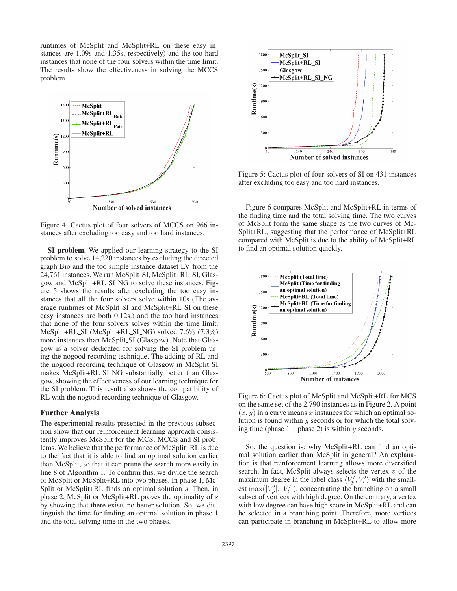runtimes of McSplit and McSplit+RL on these easy instances are 1.09s and 1.35s, respectively) and the too hard instances that none of the four solvers within the time limit. The results show the effectiveness in solving the MCCS problem.



Figure 4: Cactus plot of four solvers of MCCS on 966 instances after excluding too easy and too hard instances.

SI problem. We applied our learning strategy to the SI problem to solve 14,220 instances by excluding the directed graph Bio and the too simple instance dataset LV from the 24,761 instances. We run McSplit\_SI, McSplit+RL\_SI, Glasgow and McSplit+RL SI NG to solve these instances. Figure 5 shows the results after excluding the too easy instances that all the four solvers solve within 10s (The average runtimes of McSplit SI and McSplit+RL SI on these easy instances are both 0.12s.) and the too hard instances that none of the four solvers solves within the time limit. McSplit+RL SI (McSplit+RL SI NG) solved 7.6% (7.3%) more instances than McSplit<sub>-SI</sub> (Glasgow). Note that Glasgow is a solver dedicated for solving the SI problem using the nogood recording technique. The adding of RL and the nogood recording technique of Glasgow in McSplit SI makes McSplit+RL SI NG substantially better than Glasgow, showing the effectiveness of our learning technique for the SI problem. This result also shows the compatibility of RL with the nogood recording technique of Glasgow.

# Further Analysis

The experimental results presented in the previous subsection show that our reinforcement learning approach consistently improves McSplit for the MCS, MCCS and SI problems. We believe that the performance of McSplit+RL is due to the fact that it is able to find an optimal solution earlier than McSplit, so that it can prune the search more easily in line 8 of Algorithm 1. To confirm this, we divide the search of McSplit or McSplit+RL into two phases. In phase 1, Mc-Split or McSplit+RL finds an optimal solution s. Then, in phase 2, McSplit or McSplit+RL proves the optimality of s by showing that there exists no better solution. So, we distinguish the time for finding an optimal solution in phase 1 and the total solving time in the two phases.



Figure 5: Cactus plot of four solvers of SI on 431 instances after excluding too easy and too hard instances.

Figure 6 compares McSplit and McSplit+RL in terms of the finding time and the total solving time. The two curves of McSplit form the same shape as the two curves of Mc-Split+RL, suggesting that the performance of McSplit+RL compared with McSplit is due to the ability of McSplit+RL to find an optimal solution quickly.



Figure 6: Cactus plot of McSplit and McSplit+RL for MCS on the same set of the 2,790 instances as in Figure 2. A point  $(x, y)$  in a curve means x instances for which an optimal solution is found within  $y$  seconds or for which the total solving time (phase  $1 +$  phase 2) is within y seconds.

So, the question is: why McSplit+RL can find an optimal solution earlier than McSplit in general? An explanation is that reinforcement learning allows more diversified search. In fact, McSplit always selects the vertex  $v$  of the maximum degree in the label class  $\langle V_p', V_t' \rangle$  with the smallest max $(|V'_p|, |V'_t|)$ , concentrating the branching on a small subset of vertices with high degree. On the contrary, a vertex with low degree can have high score in McSplit+RL and can be selected in a branching point. Therefore, more vertices can participate in branching in McSplit+RL to allow more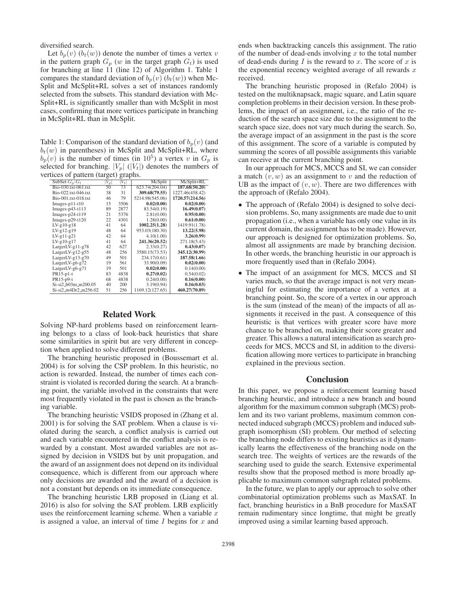diversified search.

Let  $b_p(v)$   $(b_t(w))$  denote the number of times a vertex v in the pattern graph  $G_p$  (w in the target graph  $G_t$ ) is used for branching at line 11 (line 12) of Algorithm 1. Table 1 compares the standard deviation of  $b_p(v)$  ( $b_t(w)$ ) when Mc-Split and McSplit+RL solves a set of instances randomly selected from the subsets. This standard deviation with Mc-Split+RL is significantly smaller than with McSplit in most cases, confirming that more vertices participate in branching in McSplit+RL than in McSplit.

Table 1: Comparison of the standard deviation of  $b_p(v)$  (and  $b_t(w)$  in parentheses) in McSplit and McSplit+RL, where  $b_p(v)$  is the number of times (in 10<sup>5</sup>) a vertex v in  $G_p$  is selected for branching.  $|V_p|$  ( $|V_t|$ ) denotes the numbers of vertices of pattern (target) graphs.

| SubSet- $G_n$ - $G_t$ | $V_p$ | $V_t$ | McSplit         | McSplit+RL      |
|-----------------------|-------|-------|-----------------|-----------------|
| Bio-030.txt-061.txt   | 50    | 73    | 623.74(204.04)  | 187.68(50.20)   |
| Bio-022.txt-046.txt   | 38    | 31    | 309.68(79.55)   | 1227.46(458.42) |
| Bio-001.txt-018.txt   | 46    | 79    | 5214.98(545.06) | 1720.57(214.56) |
| $Images-p11-t10$      | 15    | 3506  | 0.02(0.00)      | 0.02(0.00)      |
| Images-p43-t113       | 89    | 2877  | 83.54(0.19)     | 16.49(0.07)     |
| Images- $p24-t119$    | 21    | 5376  | 2.81(0.00)      | 0.95(0.00)      |
| Images- $p29-t120$    | 22    | 4301  | 1.28(0.00)      | 0.61(0.00)      |
| LV-g10-g18            | 41    | 64    | 1002.25(1.28)   | 1419.91(1.78)   |
| LV-g12-g19            | 48    | 64    | 953.03(180.30)  | 13.22(5.98)     |
| LV-g11-g21            | 42    | 64    | 4.10(1.00)      | 3.26(0.99)      |
| LV-g10-g17            | 41    | 64    | 241.36(20.52)   | 271.18(5.43)    |
| LargerLV-g11-g78      | 42    | 627   | 2.33(0.27)      | 0.43(0.07)      |
| LargerLV-g12-g55      | 48    | 256   | 3580.15(73.53)  | 345.12(30.99)   |
| LargerLV-g13-g70      | 49    | 501   | 234.17(0.61)    | 187.58(1.66)    |
| LargerLV-g6-g72       | 19    | 561   | 33.90(0.09)     | 0.02(0.00)      |
| LargerLV-g6-g71       | 19    | 501   | 0.02(0.00)      | 0.14(0.00)      |
| PR15-p1-t             | 83    | 4838  | 0.27(0.02)      | 0.54(0.02)      |
| PR15-p9-t             | 68    | 4838  | 0.24(0.00)      | 0.16(0.00)      |
| Si-si2_b03m_m200.05   | 40    | 200   | 3.19(0.94)      | 0.16(0.03)      |
| Si-si2_m4Dr2_m256.02  | 51    | 256   | 1169.12(127.65) | 460.27(70.89)   |
|                       |       |       |                 |                 |

# Related Work

Solving NP-hard problems based on reinforcement learning belongs to a class of look-back heuristics that share some similarities in spirit but are very different in conception when applied to solve different problems.

The branching heuristic proposed in (Boussemart et al. 2004) is for solving the CSP problem. In this heuristic, no action is rewarded. Instead, the number of times each constraint is violated is recorded during the search. At a branching point, the variable involved in the constraints that were most frequently violated in the past is chosen as the branching variable.

The branching heuristic VSIDS proposed in (Zhang et al. 2001) is for solving the SAT problem. When a clause is violated during the search, a conflict analysis is carried out and each variable encountered in the conflict analysis is rewarded by a constant. Most awarded variables are not assigned by decision in VSIDS but by unit propagation, and the award of an assignment does not depend on its individual consequence, which is different from our approach where only decisions are awarded and the award of a decision is not a constant but depends on its immediate consequence.

The branching heuristic LRB proposed in (Liang et al. 2016) is also for solving the SAT problem. LRB explicitly uses the reinforcement learning scheme. When a variable  $x$ is assigned a value, an interval of time  $I$  begins for  $x$  and

ends when backtracking cancels this assignment. The ratio of the number of dead-ends involving  $x$  to the total number of dead-ends during  $I$  is the reward to  $x$ . The score of  $x$  is the exponential recency weighted average of all rewards  $x$ received.

The branching heuristic proposed in (Refalo 2004) is tested on the multiknapsack, magic square, and Latin square completion problems in their decision version. In these problems, the impact of an assignment, i.e., the ratio of the reduction of the search space size due to the assignment to the search space size, does not vary much during the search. So, the average impact of an assignment in the past is the score of this assignment. The score of a variable is computed by summing the scores of all possible assignments this variable can receive at the current branching point.

In our approach for MCS, MCCS and SI, we can consider a match  $(v, w)$  as an assignment to v and the reduction of UB as the impact of  $(v, w)$ . There are two differences with the approach of (Refalo 2004).

- The approach of (Refalo 2004) is designed to solve decision problems. So, many assignments are made due to unit propagation (i.e., when a variable has only one value in its current domain, the assignment has to be made). However, our approach is designed for optimization problems. So, almost all assignments are made by branching decision. In other words, the branching heuristic in our approach is more frequently used than in (Refalo 2004).
- The impact of an assignment for MCS, MCCS and SI varies much, so that the average impact is not very meaningful for estimating the importance of a vertex at a branching point. So, the score of a vertex in our approach is the sum (instead of the mean) of the impacts of all assignments it received in the past. A consequence of this heuristic is that vertices with greater score have more chance to be branched on, making their score greater and greater. This allows a natural intensification as search proceeds for MCS, MCCS and SI, in addition to the diversification allowing more vertices to participate in branching explained in the previous section.

#### Conclusion

In this paper, we propose a reinforcement learning based branching heurstic, and introduce a new branch and bound algorithm for the maximum common subgraph (MCS) problem and its two variant problems, maximum common connected induced subgraph (MCCS) problem and induced subgraph isomorphism (SI) problem. Our method of selecting the branching node differs to existing heuristics as it dynamically learns the effectiveness of the branching node on the search tree. The weights of vertices are the rewards of the searching used to guide the search. Extensive experimental results show that the proposed method is more broadly applicable to maximum common subgraph related problems.

In the future, we plan to apply our approach to solve other combinatorial optimization problems such as MaxSAT. In fact, branching heuristics in a BnB procedure for MaxSAT remain rudimentary since longtime, that might be greatly improved using a similar learning based approach.